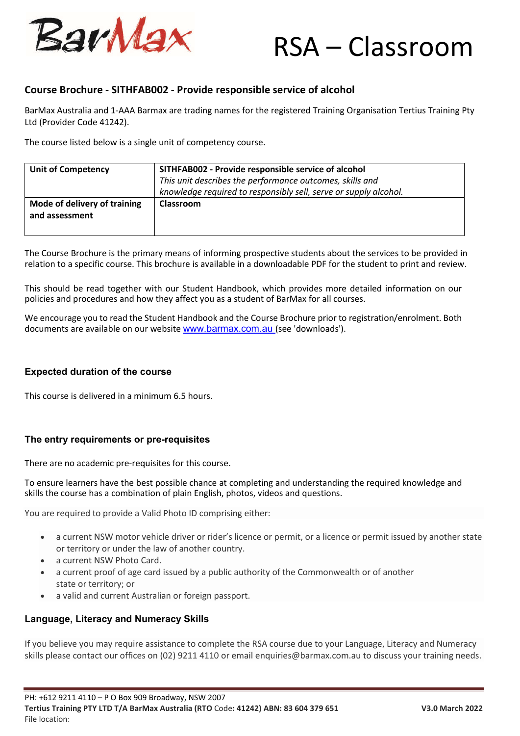

# RSA – Classroom

## **Course Brochure - SITHFAB002 - Provide responsible service of alcohol**

BarMax Australia and 1-AAA Barmax are trading names for the registered Training Organisation Tertius Training Pty Ltd (Provider Code 41242).

The course listed below is a single unit of competency course.

| <b>Unit of Competency</b>                      | SITHFAB002 - Provide responsible service of alcohol<br>This unit describes the performance outcomes, skills and<br>knowledge required to responsibly sell, serve or supply alcohol. |
|------------------------------------------------|-------------------------------------------------------------------------------------------------------------------------------------------------------------------------------------|
| Mode of delivery of training<br>and assessment | <b>Classroom</b>                                                                                                                                                                    |

The Course Brochure is the primary means of informing prospective students about the services to be provided in relation to a specific course. This brochure is available in a downloadable PDF for the student to print and review.

This should be read together with our Student Handbook, which provides more detailed information on our policies and procedures and how they affect you as a student of BarMax for all courses.

We encourage you to read the Student Handbook and the Course Brochure prior to registration/enrolment. Both documents are available on our website www.barmax.com.au (see 'downloads').

#### **Expected duration of the course**

This course is delivered in a minimum 6.5 hours.

#### **The entry requirements or pre-requisites**

There are no academic pre-requisites for this course.

To ensure learners have the best possible chance at completing and understanding the required knowledge and skills the course has a combination of plain English, photos, videos and questions.

You are required to provide a Valid Photo ID comprising either:

- a current NSW motor vehicle driver or rider's licence or permit, or a licence or permit issued by another state or territory or under the law of another country.
- a current NSW Photo Card.
- a current proof of age card issued by a public authority of the Commonwealth or of another state or territory; or
- a valid and current Australian or foreign passport.

#### **Language, Literacy and Numeracy Skills**

If you believe you may require assistance to complete the RSA course due to your Language, Literacy and Numeracy skills please contact our offices on (02) 9211 4110 or email enquiries@barmax.com.au to discuss your training needs.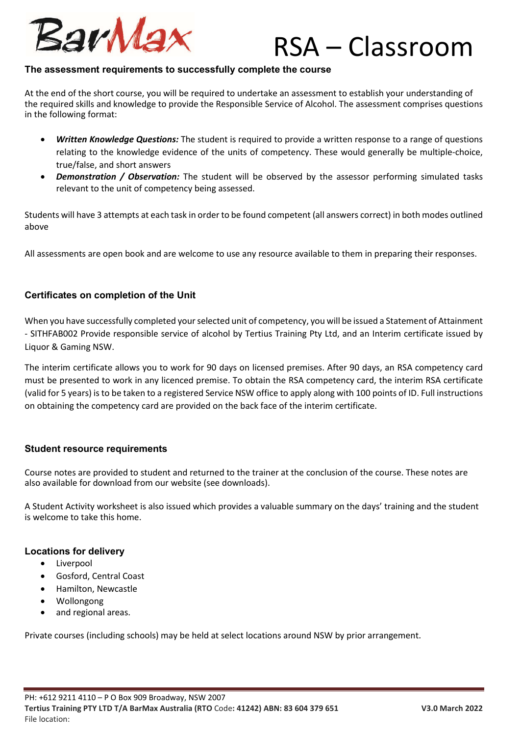

# RSA – Classroom

### **The assessment requirements to successfully complete the course**

At the end of the short course, you will be required to undertake an assessment to establish your understanding of the required skills and knowledge to provide the Responsible Service of Alcohol. The assessment comprises questions in the following format:

- *Written Knowledge Questions:* The student is required to provide a written response to a range of questions relating to the knowledge evidence of the units of competency. These would generally be multiple-choice, true/false, and short answers
- **Demonstration / Observation:** The student will be observed by the assessor performing simulated tasks relevant to the unit of competency being assessed.

Students will have 3 attempts at each task in order to be found competent (all answers correct) in both modes outlined above

All assessments are open book and are welcome to use any resource available to them in preparing their responses.

### **Certificates on completion of the Unit**

When you have successfully completed your selected unit of competency, you will be issued a Statement of Attainment - SITHFAB002 Provide responsible service of alcohol by Tertius Training Pty Ltd, and an Interim certificate issued by Liquor & Gaming NSW.

The interim certificate allows you to work for 90 days on licensed premises. After 90 days, an RSA competency card must be presented to work in any licenced premise. To obtain the RSA competency card, the interim RSA certificate (valid for 5 years) is to be taken to a registered Service NSW office to apply along with 100 points of ID. Full instructions on obtaining the competency card are provided on the back face of the interim certificate.

#### **Student resource requirements**

Course notes are provided to student and returned to the trainer at the conclusion of the course. These notes are also available for download from our website (see downloads).

A Student Activity worksheet is also issued which provides a valuable summary on the days' training and the student is welcome to take this home.

#### **Locations for delivery**

- **•** Liverpool
- Gosford, Central Coast
- Hamilton, Newcastle
- Wollongong
- and regional areas.

Private courses (including schools) may be held at select locations around NSW by prior arrangement.